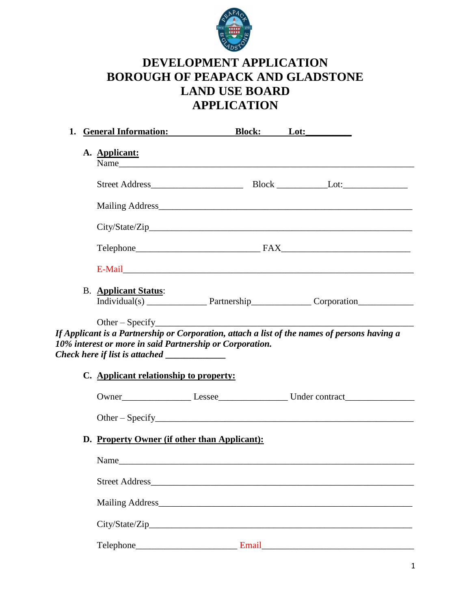

# **DEVELOPMENT APPLICATION BOROUGH OF PEAPACK AND GLADSTONE LAND USE BOARD APPLICATION**

| <b>General Information:</b> Block: Lot:                  |  |                                                                                              |
|----------------------------------------------------------|--|----------------------------------------------------------------------------------------------|
| A. Applicant:                                            |  |                                                                                              |
|                                                          |  |                                                                                              |
|                                                          |  | Mailing Address                                                                              |
|                                                          |  | City/State/Zip                                                                               |
|                                                          |  |                                                                                              |
|                                                          |  |                                                                                              |
| <b>B.</b> Applicant Status:                              |  |                                                                                              |
|                                                          |  | If Applicant is a Partnership or Corporation, attach a list of the names of persons having a |
| 10% interest or more in said Partnership or Corporation. |  |                                                                                              |
| C. Applicant relationship to property:                   |  |                                                                                              |
|                                                          |  |                                                                                              |
| D. Property Owner (if other than Applicant):             |  |                                                                                              |
|                                                          |  |                                                                                              |
|                                                          |  |                                                                                              |
|                                                          |  |                                                                                              |
|                                                          |  |                                                                                              |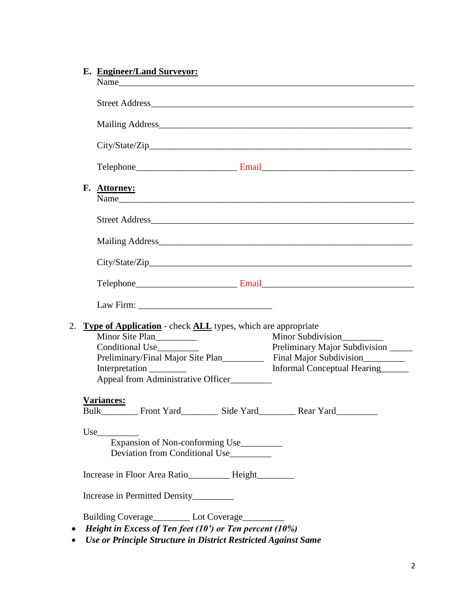| E. Engineer/Land Surveyor:                                                                    |
|-----------------------------------------------------------------------------------------------|
|                                                                                               |
|                                                                                               |
|                                                                                               |
|                                                                                               |
| F. Attorney:<br>Name                                                                          |
|                                                                                               |
|                                                                                               |
| City/State/Zip                                                                                |
|                                                                                               |
|                                                                                               |
| <b>Type of Application</b> - check <b>ALL</b> types, which are appropriate<br>Minor Site Plan |
| Minor Subdivision<br>Conditional Use_<br>Preliminary Major Subdivision ______                 |
|                                                                                               |
| Informal Conceptual Hearing                                                                   |
| Appeal from Administrative Officer                                                            |
| Variances:                                                                                    |
| Use<br>Expansion of Non-conforming Use                                                        |
| Deviation from Conditional Use                                                                |
| Increase in Floor Area Ratio_________ Height_______                                           |
| Increase in Permitted Density_________                                                        |
| Building Coverage__________ Lot Coverage__________                                            |
| <i>Height in Excess of Ten feet (10') or Ten percent (10%)</i>                                |

*Use or Principle Structure in District Restricted Against Same*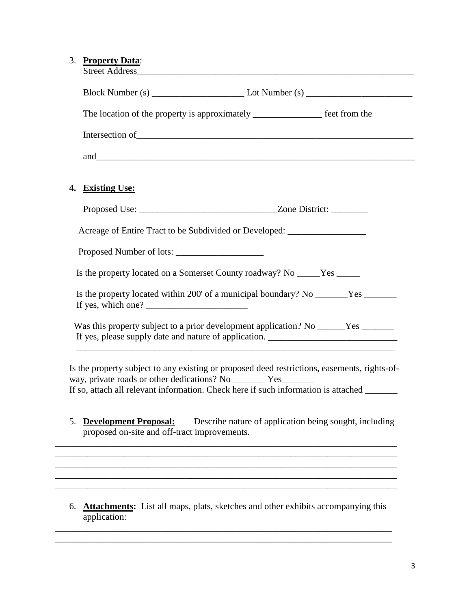#### 3. **Property Data**:

| The location of the property is approximately ______________________ feet from the                                                                                                                                                                                                                                                                                                                                                                                             |  |  |
|--------------------------------------------------------------------------------------------------------------------------------------------------------------------------------------------------------------------------------------------------------------------------------------------------------------------------------------------------------------------------------------------------------------------------------------------------------------------------------|--|--|
|                                                                                                                                                                                                                                                                                                                                                                                                                                                                                |  |  |
|                                                                                                                                                                                                                                                                                                                                                                                                                                                                                |  |  |
|                                                                                                                                                                                                                                                                                                                                                                                                                                                                                |  |  |
| <b>Existing Use:</b><br>4.                                                                                                                                                                                                                                                                                                                                                                                                                                                     |  |  |
|                                                                                                                                                                                                                                                                                                                                                                                                                                                                                |  |  |
| Acreage of Entire Tract to be Subdivided or Developed: _________________________                                                                                                                                                                                                                                                                                                                                                                                               |  |  |
|                                                                                                                                                                                                                                                                                                                                                                                                                                                                                |  |  |
| Is the property located on a Somerset County roadway? No _____Yes _____                                                                                                                                                                                                                                                                                                                                                                                                        |  |  |
| Is the property located within 200' of a municipal boundary? No _______Yes _______<br>If yes, which one? $\frac{1}{\sqrt{1-\frac{1}{2}}}\left\{ \frac{1}{2} + \frac{1}{2} + \frac{1}{2} + \frac{1}{2} + \frac{1}{2} + \frac{1}{2} + \frac{1}{2} + \frac{1}{2} + \frac{1}{2} + \frac{1}{2} + \frac{1}{2} + \frac{1}{2} + \frac{1}{2} + \frac{1}{2} + \frac{1}{2} + \frac{1}{2} + \frac{1}{2} + \frac{1}{2} + \frac{1}{2} + \frac{1}{2} + \frac{1}{2} + \frac{1}{2} + \frac{1}{$ |  |  |
| Was this property subject to a prior development application? No ______Yes ______<br>If yes, please supply date and nature of application. ___________________________                                                                                                                                                                                                                                                                                                         |  |  |
| Is the property subject to any existing or proposed deed restrictions, easements, rights-of-<br>way, private roads or other dedications? No __________ Yes_________<br>If so, attach all relevant information. Check here if such information is attached ______                                                                                                                                                                                                               |  |  |
| <b>Development Proposal:</b> Describe nature of application being sought, including<br>5.<br>proposed on-site and off-tract improvements.                                                                                                                                                                                                                                                                                                                                      |  |  |

6. **Attachments:** List all maps, plats, sketches and other exhibits accompanying this application:

\_\_\_\_\_\_\_\_\_\_\_\_\_\_\_\_\_\_\_\_\_\_\_\_\_\_\_\_\_\_\_\_\_\_\_\_\_\_\_\_\_\_\_\_\_\_\_\_\_\_\_\_\_\_\_\_\_\_\_\_\_\_\_\_\_\_\_\_\_\_\_\_\_ \_\_\_\_\_\_\_\_\_\_\_\_\_\_\_\_\_\_\_\_\_\_\_\_\_\_\_\_\_\_\_\_\_\_\_\_\_\_\_\_\_\_\_\_\_\_\_\_\_\_\_\_\_\_\_\_\_\_\_\_\_\_\_\_\_\_\_\_\_\_\_\_\_

\_\_\_\_\_\_\_\_\_\_\_\_\_\_\_\_\_\_\_\_\_\_\_\_\_\_\_\_\_\_\_\_\_\_\_\_\_\_\_\_\_\_\_\_\_\_\_\_\_\_\_\_\_\_\_\_\_\_\_\_\_\_\_\_\_\_\_\_\_\_\_\_\_\_

\_\_\_\_\_\_\_\_\_\_\_\_\_\_\_\_\_\_\_\_\_\_\_\_\_\_\_\_\_\_\_\_\_\_\_\_\_\_\_\_\_\_\_\_\_\_\_\_\_\_\_\_\_\_\_\_\_\_\_\_\_\_\_\_\_\_\_\_\_\_\_\_\_\_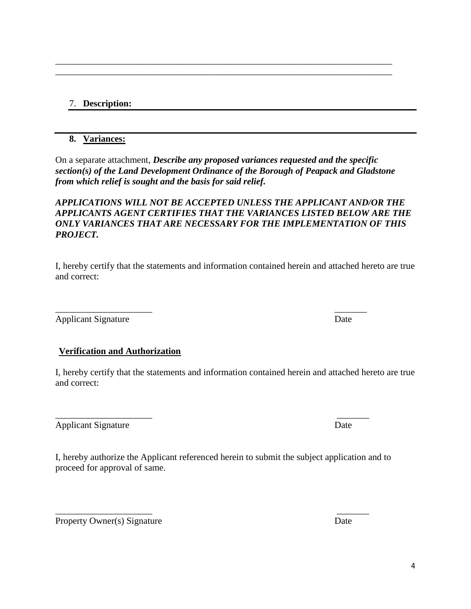# 7. **Description:**

#### **8. Variances:**

On a separate attachment, *Describe any proposed variances requested and the specific section(s) of the Land Development Ordinance of the Borough of Peapack and Gladstone from which relief is sought and the basis for said relief.* 

\_\_\_\_\_\_\_\_\_\_\_\_\_\_\_\_\_\_\_\_\_\_\_\_\_\_\_\_\_\_\_\_\_\_\_\_\_\_\_\_\_\_\_\_\_\_\_\_\_\_\_\_\_\_\_\_\_\_\_\_\_\_\_\_\_\_\_\_\_\_\_\_\_ \_\_\_\_\_\_\_\_\_\_\_\_\_\_\_\_\_\_\_\_\_\_\_\_\_\_\_\_\_\_\_\_\_\_\_\_\_\_\_\_\_\_\_\_\_\_\_\_\_\_\_\_\_\_\_\_\_\_\_\_\_\_\_\_\_\_\_\_\_\_\_\_\_

### *APPLICATIONS WILL NOT BE ACCEPTED UNLESS THE APPLICANT AND/OR THE APPLICANTS AGENT CERTIFIES THAT THE VARIANCES LISTED BELOW ARE THE ONLY VARIANCES THAT ARE NECESSARY FOR THE IMPLEMENTATION OF THIS PROJECT.*

I, hereby certify that the statements and information contained herein and attached hereto are true and correct:

 $\overline{\phantom{a}}$  , and the contract of the contract of the contract of the contract of the contract of the contract of the contract of the contract of the contract of the contract of the contract of the contract of the contrac

Applicant Signature Date

## **Verification and Authorization**

I, hereby certify that the statements and information contained herein and attached hereto are true and correct:

Applicant Signature Date

I, hereby authorize the Applicant referenced herein to submit the subject application and to proceed for approval of same.

Property Owner(s) Signature Date

 $\overline{\phantom{a}}$  , and the contract of the contract of the contract of the contract of the contract of the contract of the contract of the contract of the contract of the contract of the contract of the contract of the contrac

\_\_\_\_\_\_\_\_\_\_\_\_\_\_\_\_\_\_\_\_\_ \_\_\_\_\_\_\_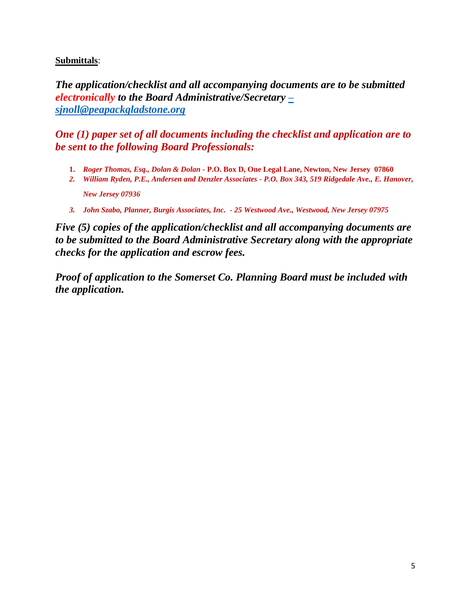#### **Submittals**:

*The application/checklist and all accompanying documents are to be submitted electronically to the Board Administrative/Secretary [–](mailto:–sjnoll@peapackgladstone.org) [sjnoll@peapackgladstone.org](mailto:–sjnoll@peapackgladstone.org)*

*One (1) paper set of all documents including the checklist and application are to be sent to the following Board Professionals:*

- **1.** *Roger Thomas, Esq., Dolan & Dolan -* **P.O. Box D, One Legal Lane, Newton, New Jersey 07860**
- *2. William Ryden, P.E., Andersen and Denzler Associates - P.O. Box 343, 519 Ridgedale Ave., E. Hanover, New Jersey 07936*
- *3. John Szabo, Planner, Burgis Associates, Inc. - 25 Westwood Ave., Westwood, New Jersey 07975*

*Five (5) copies of the application/checklist and all accompanying documents are to be submitted to the Board Administrative Secretary along with the appropriate checks for the application and escrow fees.*

*Proof of application to the Somerset Co. Planning Board must be included with the application.*